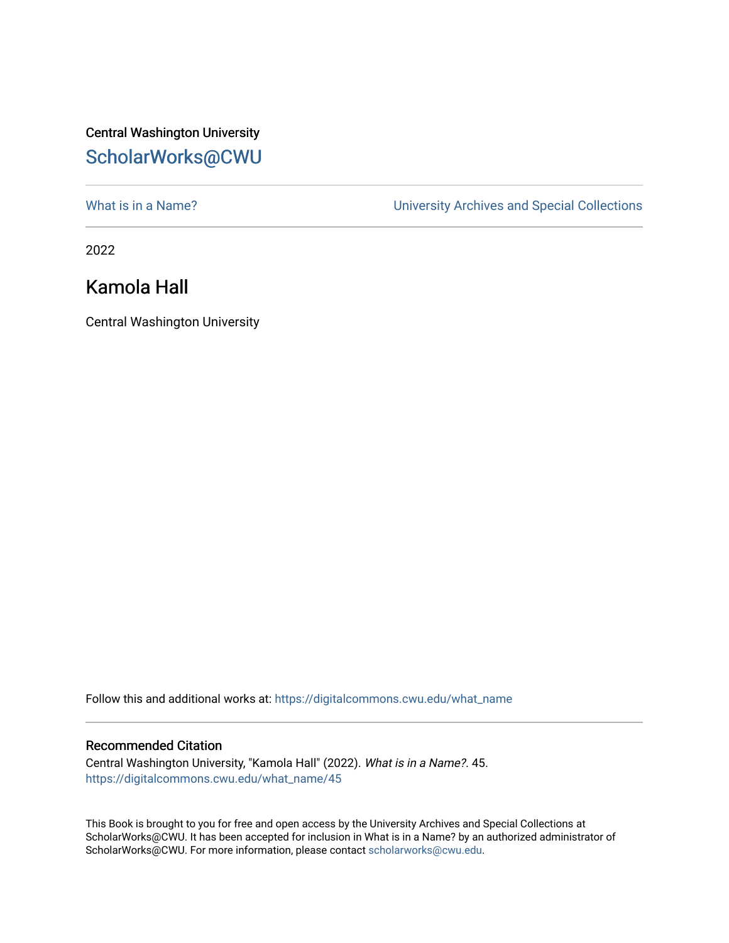## Central Washington University [ScholarWorks@CWU](https://digitalcommons.cwu.edu/)

[What is in a Name?](https://digitalcommons.cwu.edu/what_name) **What is in a Name?** University Archives and Special Collections

2022

## Kamola Hall

Central Washington University

Follow this and additional works at: [https://digitalcommons.cwu.edu/what\\_name](https://digitalcommons.cwu.edu/what_name?utm_source=digitalcommons.cwu.edu%2Fwhat_name%2F45&utm_medium=PDF&utm_campaign=PDFCoverPages) 

## Recommended Citation

Central Washington University, "Kamola Hall" (2022). What is in a Name?. 45. [https://digitalcommons.cwu.edu/what\\_name/45](https://digitalcommons.cwu.edu/what_name/45?utm_source=digitalcommons.cwu.edu%2Fwhat_name%2F45&utm_medium=PDF&utm_campaign=PDFCoverPages) 

This Book is brought to you for free and open access by the University Archives and Special Collections at ScholarWorks@CWU. It has been accepted for inclusion in What is in a Name? by an authorized administrator of ScholarWorks@CWU. For more information, please contact [scholarworks@cwu.edu](mailto:scholarworks@cwu.edu).